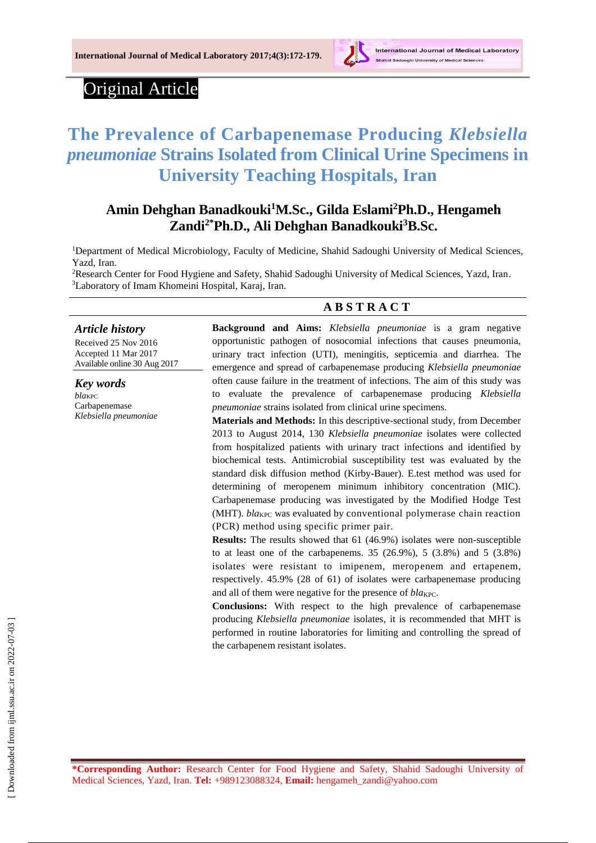

# Original Article

# **The Prevalence of Carbapenemase Producing** *Klebsiella pneumoniae* **Strains Isolated from Clinical Urine Specimens in University Teaching Hospitals, Iran**

# **Amin Dehghan Banadkouki<sup>1</sup>M.Sc., Gilda Eslami<sup>2</sup>Ph.D., Hengameh Zandi2\*Ph.D., Ali Dehghan Banadkouki<sup>3</sup>B.Sc.**

<sup>1</sup>Department of Medical Microbiology, Faculty of Medicine, Shahid Sadoughi University of Medical Sciences, Yazd, Iran.

<sup>2</sup>Research Center for Food Hygiene and Safety, Shahid Sadoughi University of Medical Sciences, Yazd, Iran. <sup>3</sup>Laboratory of Imam Khomeini Hospital, Karaj, Iran.

#### *Article history*

Received 25 Nov 2016 Accepted 11 Mar 2017 Available online 30 Aug 2017

*Key words [bla](https://www.ncbi.nlm.nih.gov/pmc/articles/PMC3919306/)*KPC Carbapenemase *Klebsiella pneumoniae*

## **A B S T R A C T**

**Background and Aims:** *Klebsiella pneumoniae* is a gram negative opportunistic pathogen of nosocomial infections that causes pneumonia, urinary tract infection (UTI), meningitis, septicemia and diarrhea. The emergence and spread of carbapenemase producing *Klebsiella pneumoniae*  often cause failure in the treatment of infections. The aim of this study was to evaluate the prevalence of carbapenemase producing *Klebsiella pneumoniae* strains isolated from clinical urine specimens.

**Materials and Methods:** In this descriptive-sectional study, from December 2013 to August 2014, 130 *Klebsiella pneumoniae* isolates were collected from hospitalized patients with urinary tract infections and identified by biochemical tests. Antimicrobial susceptibility test was evaluated by the standard disk diffusion method (Kirby-Bauer). E.test method was used for determining of meropenem minimum inhibitory concentration (MIC). Carbapenemase producing was investigated by the Modified Hodge Test (MHT).  $bl_{\alpha_{\text{FPC}}}$  was evaluated by conventional polymerase chain reaction (PCR) method using specific primer pair.

**Results:** The results showed that 61 (46.9%) isolates were non-susceptible to at least one of the carbapenems. 35 (26.9%), 5 (3.8%) and 5 (3.8%) isolates were resistant to imipenem, meropenem and ertapenem, respectively. 45.9% (28 of 61) of isolates were carbapenemase producing and all of them were negative for the presence of *blakec*.

**Conclusions:** With respect to the high prevalence of carbapenemase producing *Klebsiella pneumoniae* isolates, it is recommended that MHT is performed in routine laboratories for limiting and controlling the spread of the carbapenem resistant isolates.

**\*Corresponding Author:** Research Center for Food Hygiene and Safety, Shahid Sadoughi University of Medical Sciences, Yazd, Iran. **Tel:** +989123088324, **Email:** hengameh\_zandi@yahoo.com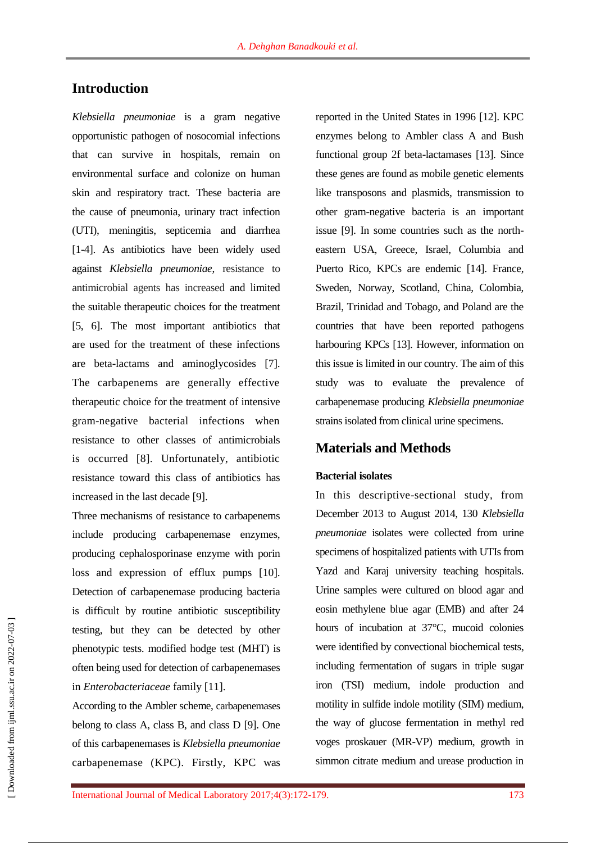## **Introduction**

*Klebsiella pneumoniae* is a gram negative opportunistic pathogen of nosocomial infections that can survive in hospitals, remain on environmental surface and colonize on human skin and respiratory tract. These bacteria are the cause of pneumonia, urinary tract infection (UTI), meningitis, septicemia and diarrhea [1-4]. As antibiotics have been widely used against *Klebsiella pneumoniae*, resistance to antimicrobial agents has increased and limited the suitable therapeutic choices for the treatment [5, 6]. The most important antibiotics that are used for the treatment of these infections are beta-lactams and aminoglycosides [7]. The carbapenems are generally effective therapeutic choice for the treatment of intensive gram-negative bacterial infections when resistance to other classes of antimicrobials is occurred [8]. Unfortunately, antibiotic resistance toward this class of antibiotics has increased in the last decade [9].

Three mechanisms of resistance to carbapenems include producing carbapenemase enzymes, producing cephalosporinase enzyme with porin loss and expression of efflux pumps [10]. Detection of carbapenemase producing bacteria is difficult by routine antibiotic susceptibility testing, but they can be detected by other phenotypic tests. modified hodge test (MHT) is often being used for detection of carbapenemases in *Enterobacteriaceae* family [11].

According to the Ambler scheme, carbapenemases belong to class A, class B, and class D [9]. One of this carbapenemases is *Klebsiella pneumoniae*  carbapenemase (KPC). Firstly, KPC was reported in the United States in 1996 [12]. KPC enzymes belong to Ambler class A and Bush functional group 2f beta-lactamases [13]. Since these genes are found as mobile genetic elements like transposons and plasmids, transmission to other gram-negative bacteria is an important issue [9]. In some countries such as the northeastern USA, Greece, Israel, Columbia and Puerto Rico, KPCs are endemic [14]. France, Sweden, Norway, Scotland, China, Colombia, Brazil, Trinidad and Tobago, and Poland are the countries that have been reported pathogens harbouring KPCs [13]. However, information on this issue is limited in our country. The aim of this study was to evaluate the prevalence of carbapenemase producing *Klebsiella pneumoniae*  strains isolated from clinical urine specimens.

## **Materials and Methods**

#### **Bacterial isolates**

In this descriptive-sectional study, from December 2013 to August 2014, 130 *Klebsiella pneumoniae* isolates were collected from urine specimens of hospitalized patients with UTIs from Yazd and Karaj university teaching hospitals. Urine samples were cultured on blood agar and eosin methylene blue agar (EMB) and after 24 hours of incubation at 37°C, mucoid colonies were identified by convectional biochemical tests, including fermentation of sugars in triple sugar iron (TSI) medium, indole production and motility in sulfide indole motility (SIM) medium, the way of glucose fermentation in methyl red voges proskauer (MR-VP) medium, growth in simmon citrate medium and urease production in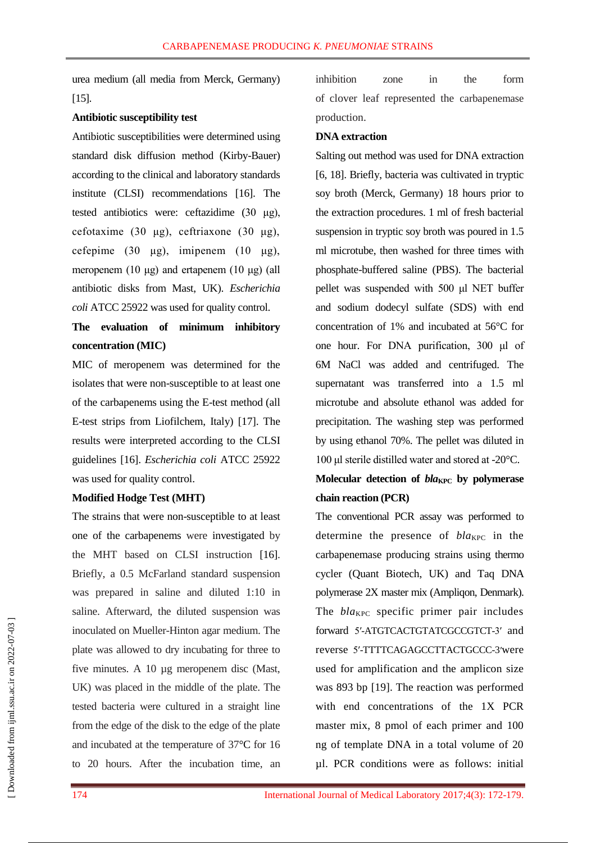urea medium (all media from Merck, Germany) [15].

#### **Antibiotic susceptibility test**

Antibiotic susceptibilities were determined using standard disk diffusion method (Kirby-Bauer) according to the clinical and laboratory standards institute (CLSI) recommendations [16]. The tested antibiotics were: ceftazidime (30 μg), cefotaxime (30 μg), ceftriaxone (30 μg), cefepime (30 μg), imipenem (10 μg), meropenem (10 μg) and ertapenem (10 μg) (all antibiotic disks from Mast, UK). *Escherichia coli* ATCC 25922 was used for quality control.

# **The evaluation of minimum inhibitory concentration (MIC)**

MIC of meropenem was determined for the isolates that were non-susceptible to at least one of the carbapenems using the E-test method (all E-test strips from Liofilchem, Italy) [17]. The results were interpreted according to the CLSI guidelines [16]. *Escherichia coli* ATCC 25922 was used for quality control.

#### **Modified Hodge Test (MHT)**

The strains that were non-susceptible to at least one of the carbapenems were investigated by the MHT based on CLSI instruction [16]. Briefly, a 0.5 McFarland standard suspension was prepared in saline and diluted 1:10 in saline. Afterward, the diluted suspension was inoculated on Mueller-Hinton agar medium. The plate was allowed to dry incubating for three to five minutes. A 10 µg meropenem disc (Mast, UK) was placed in the middle of the plate. The tested bacteria were cultured in a straight line from the edge of the disk to the edge of the plate and incubated at the temperature of 37°C for 16 to 20 hours. After the incubation time, an

inhibition zone in the form of clover leaf represented the carbapenemase production.

#### **DNA extraction**

Salting out method was used for DNA extraction [6, 18]. Briefly, bacteria was cultivated in tryptic soy broth (Merck, Germany) 18 hours prior to the extraction procedures. 1 ml of fresh bacterial suspension in tryptic soy broth was poured in 1.5 ml microtube, then washed for three times with phosphate-buffered saline (PBS). The bacterial pellet was suspended with 500 μl NET buffer and sodium dodecyl sulfate (SDS) with end concentration of 1% and incubated at 56°C for one hour. For DNA purification, 300 μl of 6M NaCl was added and centrifuged. The supernatant was transferred into a 1.5 ml microtube and absolute ethanol was added for precipitation. The washing step was performed by using ethanol 70%. The pellet was diluted in 100 μl sterile distilled water and stored at -20°C.

# Molecular detection of  $bla_{\text{KPC}}$  by polymerase **chain reaction (PCR)**

The conventional PCR assay was performed to determine the presence of *bla<sub>KPC</sub>* in the carbapenemase producing strains using thermo cycler (Quant Biotech, UK) and Taq DNA polymerase 2X master mix (Ampliqon, Denmark). The  $bla_{\text{KPC}}$  specific primer pair includes forward 5′-ATGTCACTGTATCGCCGTCT-3′ and reverse 5′-TTTTCAGAGCCTTACTGCCC-3′were used for amplification and the amplicon size was 893 bp [19]. The reaction was performed with end concentrations of the 1X PCR master mix, 8 pmol of each primer and 100 ng of template DNA in a total volume of 20 µl. PCR conditions were as follows: initial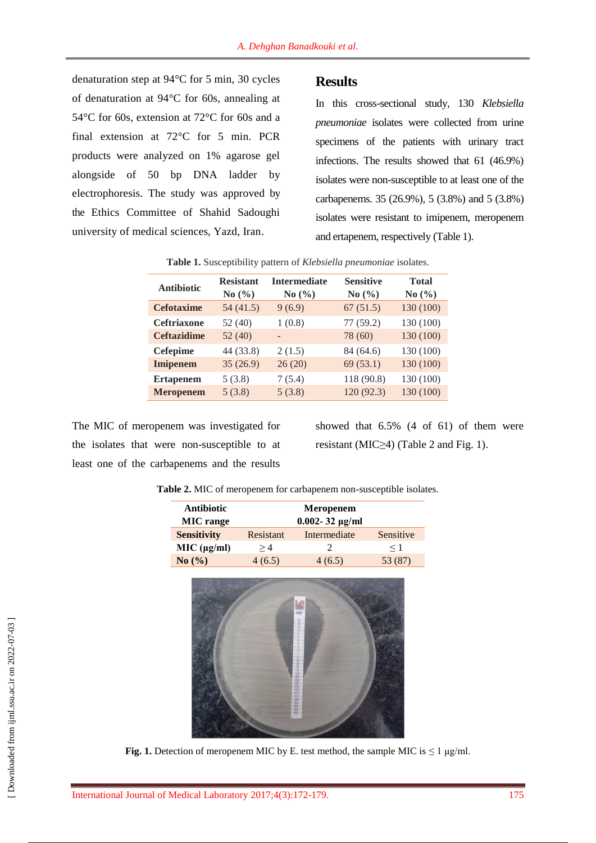denaturation step at 94°C for 5 min, 30 cycles of denaturation at 94°C for 60s, annealing at 54°C for 60s, extension at 72°C for 60s and a final extension at 72°C for 5 min. PCR products were analyzed on 1% agarose gel alongside of 50 bp DNA ladder by electrophoresis. The study was approved by the Ethics Committee of Shahid Sadoughi university of medical sciences, Yazd, Iran.

## **Results**

In this cross-sectional study, 130 *Klebsiella pneumoniae* isolates were collected from urine specimens of the patients with urinary tract infections. The results showed that 61 (46.9%) isolates were non-susceptible to at least one of the carbapenems. 35 (26.9%), 5 (3.8%) and 5 (3.8%) isolates were resistant to imipenem, meropenem and ertapenem, respectively (Table 1).

| <b>Antibiotic</b>  | <b>Resistant</b><br>No $(\% )$ | <b>Intermediate</b><br>No $(\% )$ | <b>Sensitive</b><br>No(%) | <b>Total</b><br>No $(\%$ |
|--------------------|--------------------------------|-----------------------------------|---------------------------|--------------------------|
| <b>Cefotaxime</b>  | 54(41.5)                       | 9(6.9)                            | 67(51.5)                  | 130 (100)                |
| <b>Ceftriaxone</b> | 52(40)                         | 1(0.8)                            | 77(59.2)                  | 130 (100)                |
| <b>Ceftazidime</b> | 52(40)                         |                                   | 78 (60)                   | 130 (100)                |
| <b>Cefepime</b>    | 44 (33.8)                      | 2(1.5)                            | 84 (64.6)                 | 130 (100)                |
| <b>Imipenem</b>    | 35(26.9)                       | 26(20)                            | 69(53.1)                  | 130 (100)                |
| <b>Ertapenem</b>   | 5(3.8)                         | 7(5.4)                            | 118 (90.8)                | 130 (100)                |
| <b>Meropenem</b>   | 5(3.8)                         | 5(3.8)                            | 120 (92.3)                | 130 (100)                |

| Table 1. Susceptibility pattern of Klebsiella pneumoniae isolates. |  |  |
|--------------------------------------------------------------------|--|--|
|--------------------------------------------------------------------|--|--|

The MIC of meropenem was investigated for the isolates that were non-susceptible to at least one of the carbapenems and the results

showed that 6.5% (4 of 61) of them were resistant (MIC $\geq$ 4) (Table 2 and Fig. 1).

| Table 2. MIC of meropenem for carbapenem non-susceptible isolates. |  |  |  |  |
|--------------------------------------------------------------------|--|--|--|--|
|--------------------------------------------------------------------|--|--|--|--|

| <b>Antibiotic</b>  |                       | <b>Meropenem</b> |           |  |
|--------------------|-----------------------|------------------|-----------|--|
| <b>MIC</b> range   | $0.002 - 32 \mu g/ml$ |                  |           |  |
| <b>Sensitivity</b> | Resistant             | Intermediate     | Sensitive |  |
| MIC (µg/ml)        | >4                    |                  | $\leq$ 1  |  |
| No(%)              | 4(6.5)                | 4(6.5)           | 53 (87)   |  |



**Fig. 1.** Detection of meropenem MIC by E. test method, the sample MIC is  $\leq 1$  µg/ml.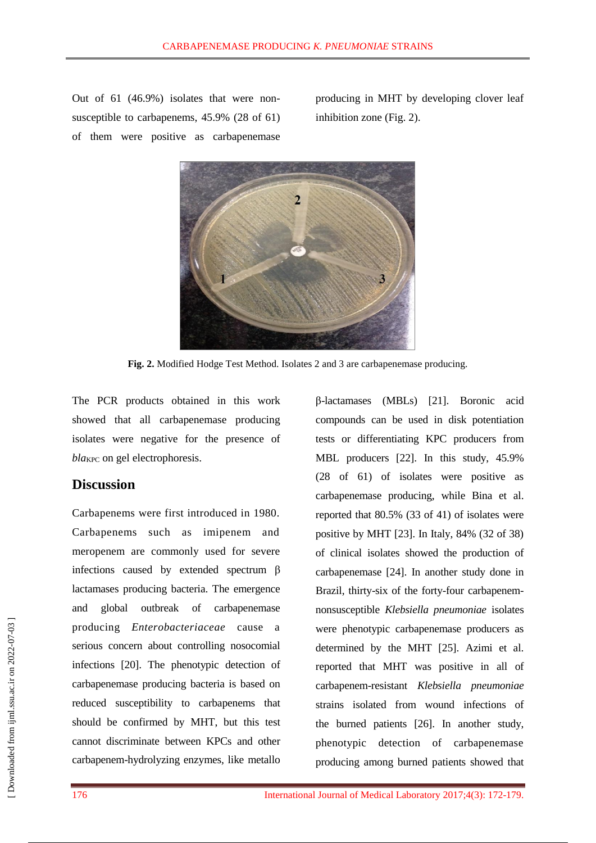Out of 61 (46.9%) isolates that were nonsusceptible to carbapenems, 45.9% (28 of 61) of them were positive as carbapenemase

producing in MHT by developing clover leaf inhibition zone (Fig. 2).



**Fig. 2.** Modified Hodge Test Method. Isolates 2 and 3 are carbapenemase producing.

The PCR products obtained in this work showed that all carbapenemase producing isolates were negative for the presence of  $bla_{KPC}$  on gel electrophoresis.

## **Discussion**

Carbapenems were first introduced in 1980. Carbapenems such as imipenem and meropenem are commonly used for severe infections caused by extended spectrum β lactamases producing bacteria. The emergence and global outbreak of carbapenemase producing *Enterobacteriaceae* cause a serious concern about controlling nosocomial infections [20]. The phenotypic detection of carbapenemase producing bacteria is based on reduced susceptibility to carbapenems that should be confirmed by MHT, but this test cannot discriminate between KPCs and other carbapenem-hydrolyzing enzymes, like metallo

β-lactamases (MBLs) [21]. Boronic acid compounds can be used in disk potentiation tests or differentiating KPC producers from MBL producers [22]. In this study, 45.9% (28 of 61) of isolates were positive as carbapenemase producing, while Bina et al. reported that 80.5% (33 of 41) of isolates were positive by MHT [23]. In Italy, 84% (32 of 38) of clinical isolates showed the production of carbapenemase [24]. In another study done in Brazil, thirty-six of the forty-four carbapenemnonsusceptible *Klebsiella pneumoniae* isolates were phenotypic carbapenemase producers as determined by the MHT [25]. Azimi et al. reported that MHT was positive in all of carbapenem-resistant *Klebsiella pneumoniae*  strains isolated from wound infections of the burned patients [26]. In another study, phenotypic detection of carbapenemase producing among burned patients showed that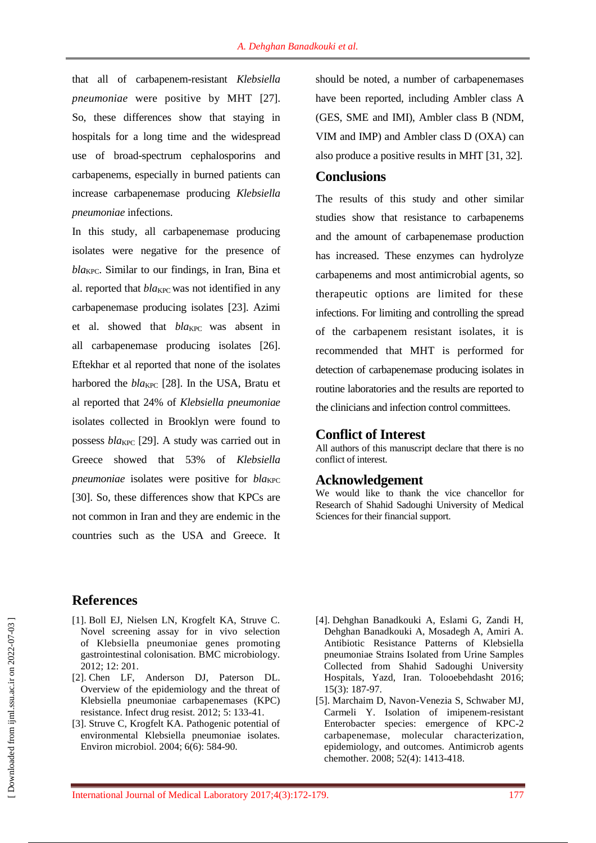that all of carbapenem-resistant *Klebsiella pneumoniae* were positive by MHT [27]. So, these differences show that staying in hospitals for a long time and the widespread use of broad-spectrum cephalosporins and carbapenems, especially in burned patients can increase carbapenemase producing *Klebsiella pneumoniae* infections.

In this study, all carbapenemase producing isolates were negative for the presence of *bla*KPC. Similar to our findings, in Iran, Bina et al. reported that  $bla_{\text{KPC}}$  was not identified in any carbapenemase producing isolates [23]. Azimi et al. showed that  $bla_{\text{KPC}}$  was absent in all carbapenemase producing isolates [26]. Eftekhar et al reported that none of the isolates harbored the *bla*<sub>KPC</sub> [28]. In the USA, Bratu et al reported that 24% of *Klebsiella pneumoniae* isolates collected in Brooklyn were found to possess *bla<sub>KPC</sub>* [29]. A study was carried out in Greece showed that 53% of *Klebsiella pneumoniae* isolates were positive for *blakec* [30]. So, these differences show that KPCs are not common in Iran and they are endemic in the countries such as the USA and Greece. It should be noted, a number of carbapenemases have been reported, including Ambler class A (GES, SME and IMI), Ambler class B (NDM, VIM and IMP) and Ambler class D (OXA) can also produce a positive results in MHT [31, 32].

## **Conclusions**

The results of this study and other similar studies show that resistance to carbapenems and the amount of carbapenemase production has increased. These enzymes can hydrolyze carbapenems and most antimicrobial agents, so therapeutic options are limited for these infections. For limiting and controlling the spread of the carbapenem resistant isolates, it is recommended that MHT is performed for detection of carbapenemase producing isolates in routine laboratories and the results are reported to the clinicians and infection control committees.

## **Conflict of Interest**

All authors of this manuscript declare that there is no conflict of interest.

#### **Acknowledgement**

We would like to thank the vice chancellor for Research of Shahid Sadoughi University of Medical Sciences for their financial support.

# **References**

- [1]. Boll EJ, Nielsen LN, Krogfelt KA, Struve C. Novel screening assay for in vivo selection of Klebsiella pneumoniae genes promoting gastrointestinal colonisation. BMC microbiology. 2012; 12: 201.
- [2]. Chen LF, Anderson DJ, Paterson DL. Overview of the epidemiology and the threat of Klebsiella pneumoniae carbapenemases (KPC) resistance. Infect drug resist. 2012; 5: 133-41.
- [3]. Struve C, Krogfelt KA. Pathogenic potential of environmental Klebsiella pneumoniae isolates. Environ microbiol. 2004; 6(6): 584-90.
- [4]. Dehghan Banadkouki A, Eslami G, Zandi H, Dehghan Banadkouki A, Mosadegh A, Amiri A. Antibiotic Resistance Patterns of Klebsiella pneumoniae Strains Isolated from Urine Samples Collected from Shahid Sadoughi University Hospitals, Yazd, Iran. Tolooebehdasht 2016; 15(3): 187-97.
- [5]. Marchaim D, Navon-Venezia S, Schwaber MJ, Carmeli Y. Isolation of imipenem-resistant Enterobacter species: emergence of KPC-2 carbapenemase, molecular characterization, epidemiology, and outcomes. Antimicrob agents chemother. 2008; 52(4): 1413-418.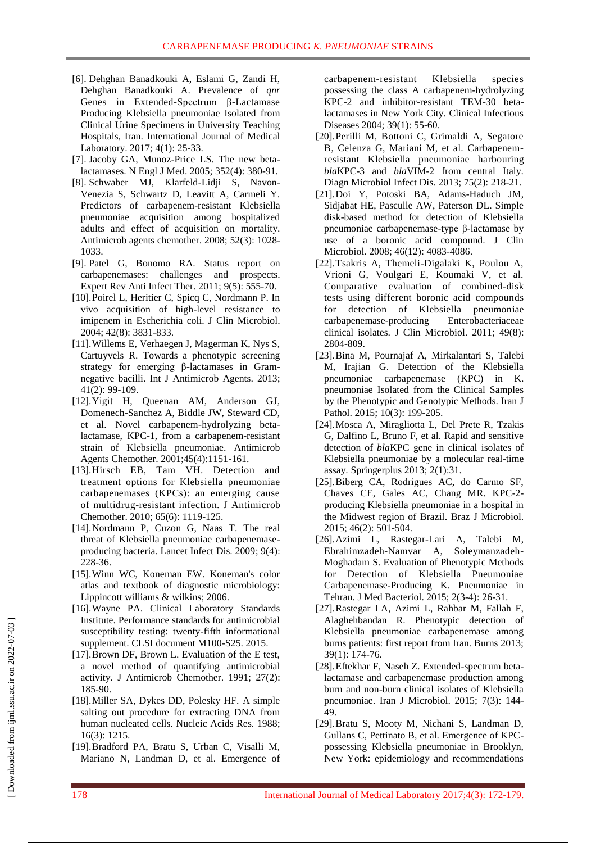- [6]. Dehghan Banadkouki A, Eslami G, Zandi H, Dehghan Banadkouki A. Prevalence of *qnr* Genes in Extended-Spectrum β-Lactamase Producing Klebsiella pneumoniae Isolated from Clinical Urine Specimens in University Teaching Hospitals, Iran. International Journal of Medical Laboratory. 2017; 4(1): 25-33.
- [7]. Jacoby GA, Munoz-Price LS. The new betalactamases. N Engl J Med. 2005; 352(4): 380-91.
- [8]. Schwaber MJ, Klarfeld-Lidji S, Navon-Venezia S, Schwartz D, Leavitt A, Carmeli Y. Predictors of carbapenem-resistant Klebsiella pneumoniae acquisition among hospitalized adults and effect of acquisition on mortality. Antimicrob agents chemother. 2008; 52(3): 1028- 1033.
- [9]. Patel G, Bonomo RA. Status report on carbapenemases: challenges and prospects. [Expert Rev Anti Infect Ther.](https://www.ncbi.nlm.nih.gov/pubmed/?term=Patel+G%2C+Bonomo+RA.+Status+report+on+carbapenemases%3A+challenges+and+prospects) 2011; 9(5): 555-70.
- [10].Poirel L, Heritier C, Spicq C, Nordmann P. In vivo acquisition of high-level resistance to imipenem in Escherichia coli. J Clin Microbiol. 2004; 42(8): 3831-833.
- [11].Willems E, Verhaegen J, Magerman K, Nys S, Cartuyvels R. Towards a phenotypic screening strategy for emerging β-lactamases in Gramnegative bacilli. Int J Antimicrob Agents. 2013; 41(2): 99-109.
- [12].Yigit H, Queenan AM, Anderson GJ, Domenech-Sanchez A, Biddle JW, Steward CD, et al. Novel carbapenem-hydrolyzing betalactamase, KPC-1, from a carbapenem-resistant strain of Klebsiella pneumoniae. Antimicrob Agents Chemother. 2001;45(4):1151-161.
- [13].Hirsch EB, Tam VH. Detection and treatment options for Klebsiella pneumoniae carbapenemases (KPCs): an emerging cause of multidrug-resistant infection. J Antimicrob Chemother. 2010; 65(6): 1119-125.
- [14].Nordmann P, Cuzon G, Naas T. The real threat of Klebsiella pneumoniae carbapenemaseproducing bacteria. Lancet Infect Dis. 2009; 9(4): 228-36.
- [15].Winn WC, Koneman EW. Koneman's color atlas and textbook of diagnostic microbiology: Lippincott williams & wilkins; 2006.
- [16].Wayne PA. Clinical Laboratory Standards Institute. Performance standards for antimicrobial susceptibility testing: twenty-fifth informational supplement. CLSI document M100-S25. 2015.
- [17]. Brown DF, Brown L. Evaluation of the E test, a novel method of quantifying antimicrobial activity. J Antimicrob Chemother. 1991; 27(2): 185-90.
- [18].Miller SA, Dykes DD, Polesky HF. A simple salting out procedure for extracting DNA from human nucleated cells. Nucleic Acids Res. 1988; 16(3): 1215.
- [19].Bradford PA, Bratu S, Urban C, Visalli M, Mariano N, Landman D, et al. Emergence of

carbapenem-resistant Klebsiella species possessing the class A carbapenem-hydrolyzing KPC-2 and inhibitor-resistant TEM-30 betalactamases in New York City. Clinical Infectious Diseases 2004; 39(1): 55-60.

- [20].Perilli M, Bottoni C, Grimaldi A, Segatore B, Celenza G, Mariani M, et al. Carbapenemresistant Klebsiella pneumoniae harbouring *bla*KPC-3 and *bla*VIM-2 from central Italy. Diagn Microbiol Infect Dis. 2013; 75(2): 218-21.
- [21].Doi Y, Potoski BA, Adams-Haduch JM, Sidjabat HE, Pasculle AW, Paterson DL. Simple disk-based method for detection of Klebsiella pneumoniae carbapenemase-type β-lactamase by use of a boronic acid compound. J Clin Microbiol. 2008; 46(12): 4083-4086.
- [22].Tsakris A, Themeli-Digalaki K, Poulou A, Vrioni G, Voulgari E, Koumaki V, et al. Comparative evaluation of combined-disk tests using different boronic acid compounds for detection of Klebsiella pneumoniae carbapenemase-producing Enterobacteriaceae clinical isolates. J Clin Microbiol. 2011; 49(8): 2804-809.
- [23].Bina M, Pournajaf A, Mirkalantari S, Talebi M, Irajian G. Detection of the Klebsiella pneumoniae carbapenemase (KPC) in K. pneumoniae Isolated from the Clinical Samples by the Phenotypic and Genotypic Methods. Iran J Pathol. 2015; 10(3): 199-205.
- [24].Mosca A, Miragliotta L, Del Prete R, Tzakis G, Dalfino L, Bruno F, et al. Rapid and sensitive detection of *bla*KPC gene in clinical isolates of Klebsiella pneumoniae by a molecular real-time assay. Springerplus 2013; 2(1):31.
- [25].Biberg CA, Rodrigues AC, do Carmo SF, Chaves CE, Gales AC, Chang MR. KPC-2 producing Klebsiella pneumoniae in a hospital in the Midwest region of Brazil. Braz J Microbiol. 2015; 46(2): 501-504.
- [26].Azimi L, Rastegar-Lari A, Talebi M, Ebrahimzadeh-Namvar A, Soleymanzadeh-Moghadam S. Evaluation of Phenotypic Methods for Detection of Klebsiella Pneumoniae Carbapenemase-Producing K. Pneumoniae in Tehran. J Med Bacteriol. 2015; 2(3-4): 26-31.
- [27].Rastegar LA, Azimi L, Rahbar M, Fallah F, Alaghehbandan R. Phenotypic detection of Klebsiella pneumoniae carbapenemase among burns patients: first report from Iran. Burns 2013; 39(1): 174-76.
- [28].Eftekhar F, Naseh Z. Extended-spectrum betalactamase and carbapenemase production among burn and non-burn clinical isolates of Klebsiella pneumoniae. Iran J Microbiol. 2015; 7(3): 144- 49.
- [29].Bratu S, Mooty M, Nichani S, Landman D, Gullans C, Pettinato B, et al. Emergence of KPCpossessing Klebsiella pneumoniae in Brooklyn, New York: epidemiology and recommendations